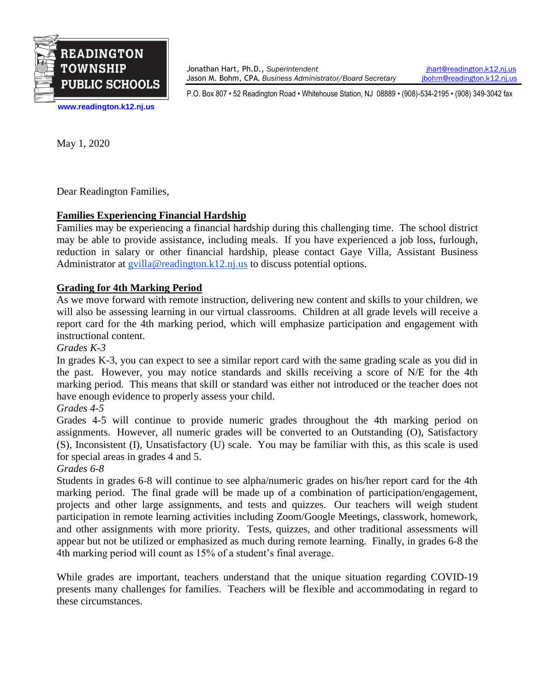

Jonathan Hart, Ph.D., *Superintendent* [jhart@readington.k12.nj.us](mailto:jhart@readington.k12.nj.us) Jason M. Bohm, CPA, *Business Administrator/Board Secretary* [jbohm@readington.k12.nj.us](mailto:jbohm@readington.k12.nj.us)

P.O. Box 807 • 52 Readington Road • Whitehouse Station, NJ 08889 • (908)-534-2195 • (908) 349-3042 fax

**[www.readington.k12.nj.us](http://www.readington.k12.nj.us/)**

May 1, 2020

Dear Readington Families,

# **Families Experiencing Financial Hardship**

Families may be experiencing a financial hardship during this challenging time. The school district may be able to provide assistance, including meals. If you have experienced a job loss, furlough, reduction in salary or other financial hardship, please contact Gaye Villa, Assistant Business Administrator at  $g$ villa@readington.k12.nj.us to discuss potential options.

### **Grading for 4th Marking Period**

As we move forward with remote instruction, delivering new content and skills to your children, we will also be assessing learning in our virtual classrooms. Children at all grade levels will receive a report card for the 4th marking period, which will emphasize participation and engagement with instructional content.

*Grades K-3*

In grades K-3, you can expect to see a similar report card with the same grading scale as you did in the past. However, you may notice standards and skills receiving a score of N/E for the 4th marking period. This means that skill or standard was either not introduced or the teacher does not have enough evidence to properly assess your child.

### *Grades 4-5*

Grades 4-5 will continue to provide numeric grades throughout the 4th marking period on assignments. However, all numeric grades will be converted to an Outstanding (O), Satisfactory (S), Inconsistent (I), Unsatisfactory (U) scale. You may be familiar with this, as this scale is used for special areas in grades 4 and 5.

### *Grades 6-8*

Students in grades 6-8 will continue to see alpha/numeric grades on his/her report card for the 4th marking period. The final grade will be made up of a combination of participation/engagement, projects and other large assignments, and tests and quizzes. Our teachers will weigh student participation in remote learning activities including Zoom/Google Meetings, classwork, homework, and other assignments with more priority. Tests, quizzes, and other traditional assessments will appear but not be utilized or emphasized as much during remote learning. Finally, in grades 6-8 the 4th marking period will count as 15% of a student's final average.

While grades are important, teachers understand that the unique situation regarding COVID-19 presents many challenges for families. Teachers will be flexible and accommodating in regard to these circumstances.